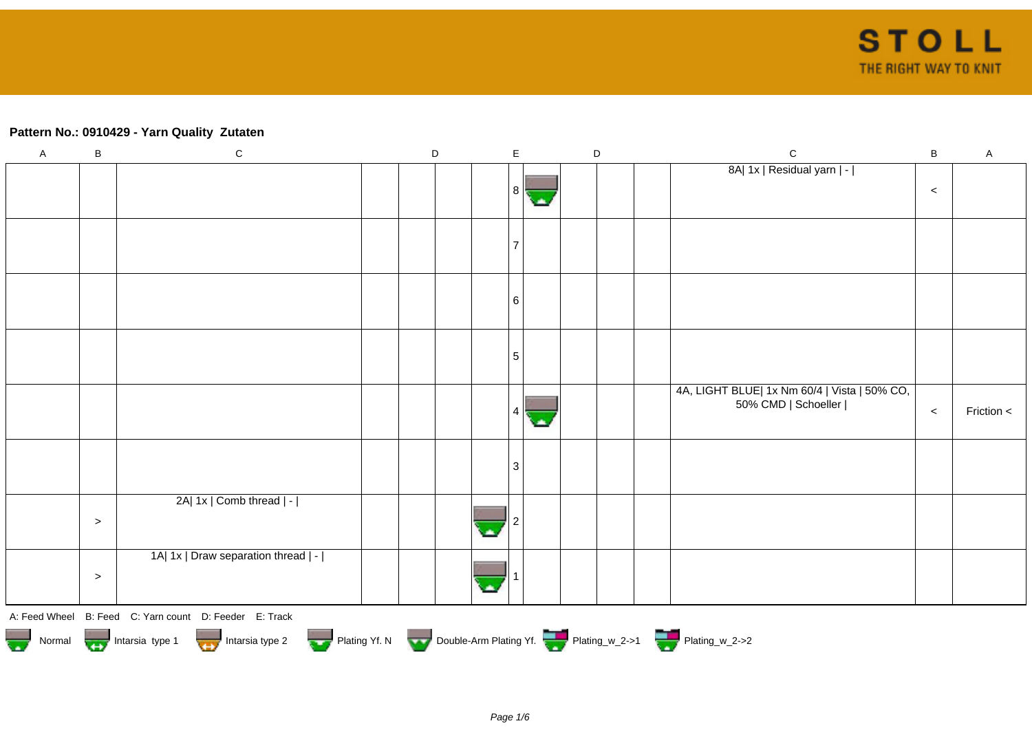## **Pattern No.: 0910429 - Yarn Quality Zutaten**

| $\sf A$ | $\sf B$ | $\mathbf C$                                                                                               | D | $\mathsf E$ |  | $\mathsf D$ | $\mathbf C$                                  | $\sf B$ | $\mathsf A$ |
|---------|---------|-----------------------------------------------------------------------------------------------------------|---|-------------|--|-------------|----------------------------------------------|---------|-------------|
|         |         |                                                                                                           |   |             |  |             | 8A  1x   Residual yarn   -                   |         |             |
|         |         |                                                                                                           |   | 8           |  |             |                                              | $\,<$   |             |
|         |         |                                                                                                           |   |             |  |             |                                              |         |             |
|         |         |                                                                                                           |   |             |  |             |                                              |         |             |
|         |         |                                                                                                           |   |             |  |             |                                              |         |             |
|         |         |                                                                                                           |   |             |  |             |                                              |         |             |
|         |         |                                                                                                           |   |             |  |             |                                              |         |             |
|         |         |                                                                                                           |   | 6           |  |             |                                              |         |             |
|         |         |                                                                                                           |   |             |  |             |                                              |         |             |
|         |         |                                                                                                           |   |             |  |             |                                              |         |             |
|         |         |                                                                                                           |   | 5           |  |             |                                              |         |             |
|         |         |                                                                                                           |   |             |  |             |                                              |         |             |
|         |         |                                                                                                           |   |             |  |             | 4A, LIGHT BLUE  1x Nm 60/4   Vista   50% CO, |         |             |
|         |         |                                                                                                           |   |             |  |             | 50% CMD   Schoeller                          | $\,<$   | Friction <  |
|         |         |                                                                                                           |   |             |  |             |                                              |         |             |
|         |         |                                                                                                           |   |             |  |             |                                              |         |             |
|         |         |                                                                                                           |   | 3           |  |             |                                              |         |             |
|         |         |                                                                                                           |   |             |  |             |                                              |         |             |
|         |         | 2A  1x   Comb thread   -                                                                                  |   |             |  |             |                                              |         |             |
|         | $\geq$  |                                                                                                           |   |             |  |             |                                              |         |             |
|         |         |                                                                                                           |   |             |  |             |                                              |         |             |
|         |         | 1A  1x   Draw separation thread   -                                                                       |   |             |  |             |                                              |         |             |
|         | $\,>$   |                                                                                                           |   |             |  |             |                                              |         |             |
|         |         |                                                                                                           |   |             |  |             |                                              |         |             |
|         |         | A: Feed Wheel B: Feed C: Yarn count D: Feeder E: Track                                                    |   |             |  |             |                                              |         |             |
|         |         | Normal More Intarsia type 1 Intarsia type 2 Plating Yf. N Double-Arm Plating Yf. N Double-Arm Plating Yf. |   |             |  |             |                                              |         |             |
|         |         |                                                                                                           |   |             |  |             |                                              |         |             |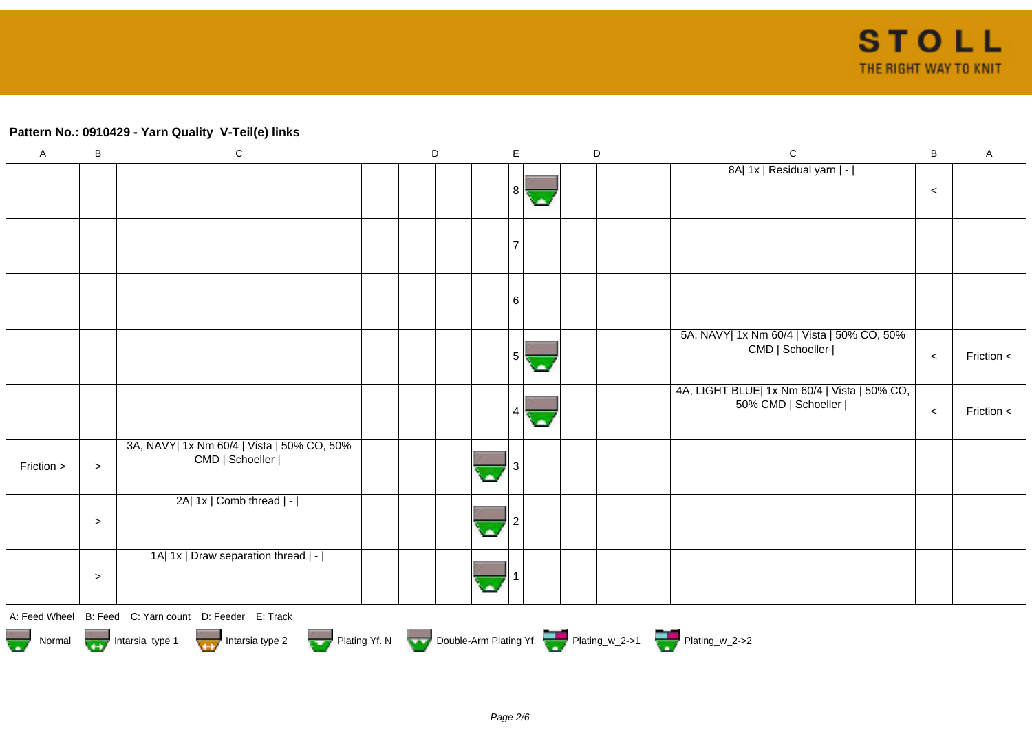## **Pattern No.: 0910429 - Yarn Quality V-Teil(e) links**

| $\boldsymbol{\mathsf{A}}$ | B                                                                                                              | ${\bf C}$                                                     |  | D |  | E              |  | D |  |  | $\mathsf{C}$                                                        | $\, {\bf B}$ | $\mathsf A$ |
|---------------------------|----------------------------------------------------------------------------------------------------------------|---------------------------------------------------------------|--|---|--|----------------|--|---|--|--|---------------------------------------------------------------------|--------------|-------------|
|                           |                                                                                                                |                                                               |  |   |  | 8 <sup>1</sup> |  |   |  |  | 8A  1x   Residual yarn   -                                          | $\,<$        |             |
|                           |                                                                                                                |                                                               |  |   |  |                |  |   |  |  |                                                                     |              |             |
|                           |                                                                                                                |                                                               |  |   |  | 6              |  |   |  |  |                                                                     |              |             |
|                           |                                                                                                                |                                                               |  |   |  | 5              |  |   |  |  | 5A, NAVY  1x Nm 60/4   Vista   50% CO, 50%<br>CMD   Schoeller       | $\,<$        | Friction <  |
|                           |                                                                                                                |                                                               |  |   |  |                |  |   |  |  | 4A, LIGHT BLUE  1x Nm 60/4   Vista   50% CO,<br>50% CMD   Schoeller | $\,<$        | Friction <  |
| Friction >                | $\, > \,$                                                                                                      | 3A, NAVY  1x Nm 60/4   Vista   50% CO, 50%<br>CMD   Schoeller |  |   |  |                |  |   |  |  |                                                                     |              |             |
|                           | $\, > \,$                                                                                                      | 2A  1x   Comb thread   -                                      |  |   |  |                |  |   |  |  |                                                                     |              |             |
|                           | $\, >$                                                                                                         | 1A  1x   Draw separation thread   -                           |  |   |  |                |  |   |  |  |                                                                     |              |             |
|                           |                                                                                                                | A: Feed Wheel B: Feed C: Yarn count D: Feeder E: Track        |  |   |  |                |  |   |  |  |                                                                     |              |             |
|                           | Normal Montain Strategy Intarsia type 2 and Development Development Development Plating Vf. The Plating w_2->2 |                                                               |  |   |  |                |  |   |  |  |                                                                     |              |             |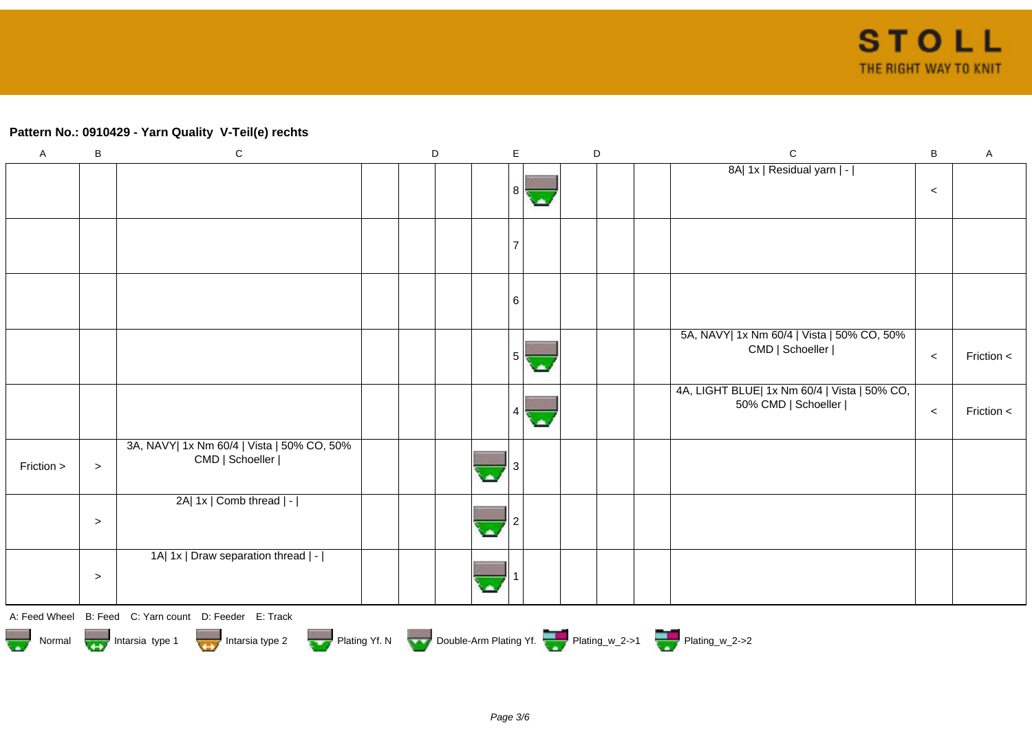## **Pattern No.: 0910429 - Yarn Quality V-Teil(e) rechts**

| $\mathsf A$ | B         | ${\bf C}$                                                                                       | D | E              | D | ${\bf C}$                                                           | $\, {\bf B}$ | $\mathsf A$ |
|-------------|-----------|-------------------------------------------------------------------------------------------------|---|----------------|---|---------------------------------------------------------------------|--------------|-------------|
|             |           |                                                                                                 |   | 8 I            |   | 8A  1x   Residual yarn   -                                          | $\,<$        |             |
|             |           |                                                                                                 |   | $\overline{7}$ |   |                                                                     |              |             |
|             |           |                                                                                                 |   | 6              |   |                                                                     |              |             |
|             |           |                                                                                                 |   | 5              |   | 5A, NAVY  1x Nm 60/4   Vista   50% CO, 50%<br>CMD   Schoeller       | $\,<$        | Friction <  |
|             |           |                                                                                                 |   |                |   | 4A, LIGHT BLUE  1x Nm 60/4   Vista   50% CO,<br>50% CMD   Schoeller | $\,<$        | Friction <  |
| Friction >  | $\, > \,$ | 3A, NAVY  1x Nm 60/4   Vista   50% CO, 50%<br>CMD   Schoeller                                   |   |                |   |                                                                     |              |             |
|             | $\, > \,$ | 2A  1x   Comb thread   -                                                                        |   |                |   |                                                                     |              |             |
|             | $\, > \,$ | 1A  1x   Draw separation thread   -                                                             |   |                |   |                                                                     |              |             |
|             |           | A: Feed Wheel B: Feed C: Yarn count D: Feeder E: Track                                          |   |                |   |                                                                     |              |             |
|             |           | Normal Montain Strategy Intarsia type 2 and htarsia type 2 Plating Yf. N Double-Arm Plating Yf. |   |                |   |                                                                     |              |             |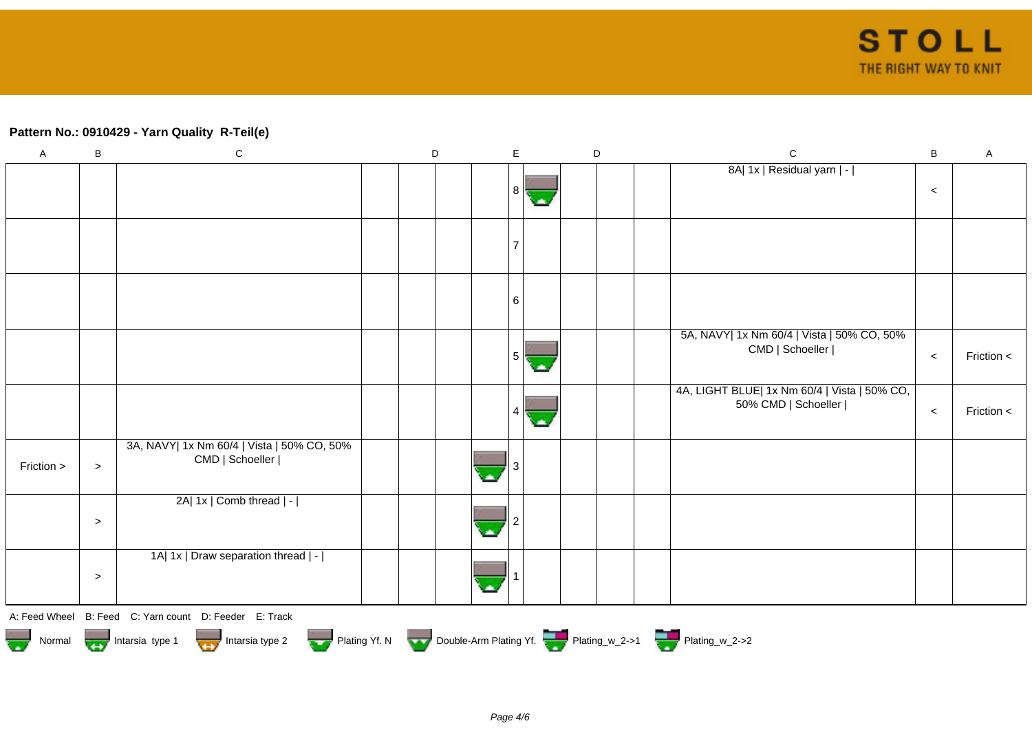## **Pattern No.: 0910429 - Yarn Quality R-Teil(e)**

| $\mathsf A$ | B         | ${\bf C}$                                                                                    | D | E              | $\mathsf D$ | ${\bf C}$                                                           | $\, {\bf B}$ | $\mathsf A$ |
|-------------|-----------|----------------------------------------------------------------------------------------------|---|----------------|-------------|---------------------------------------------------------------------|--------------|-------------|
|             |           |                                                                                              |   | 8 I            |             | 8A  1x   Residual yarn   -                                          | $\,<$        |             |
|             |           |                                                                                              |   | $\overline{7}$ |             |                                                                     |              |             |
|             |           |                                                                                              |   | 6              |             |                                                                     |              |             |
|             |           |                                                                                              |   | 5              |             | 5A, NAVY  1x Nm 60/4   Vista   50% CO, 50%<br>CMD   Schoeller       | $\,<$        | Friction <  |
|             |           |                                                                                              |   |                |             | 4A, LIGHT BLUE  1x Nm 60/4   Vista   50% CO,<br>50% CMD   Schoeller | $\,<$        | Friction <  |
| Friction >  | $\geq$    | 3A, NAVY  1x Nm 60/4   Vista   50% CO, 50%<br>CMD   Schoeller                                |   |                |             |                                                                     |              |             |
|             | $\geq$    | 2A  1x   Comb thread   -                                                                     |   |                |             |                                                                     |              |             |
|             | $\, > \,$ | 1A  1x   Draw separation thread   -                                                          |   |                |             |                                                                     |              |             |
|             |           | A: Feed Wheel B: Feed C: Yarn count D: Feeder E: Track                                       |   |                |             |                                                                     |              |             |
|             |           | Normal Montain Strategy Intarsia type 2 butarsia type 2 Plating Yf. N Double-Arm Plating Yf. |   |                |             |                                                                     |              |             |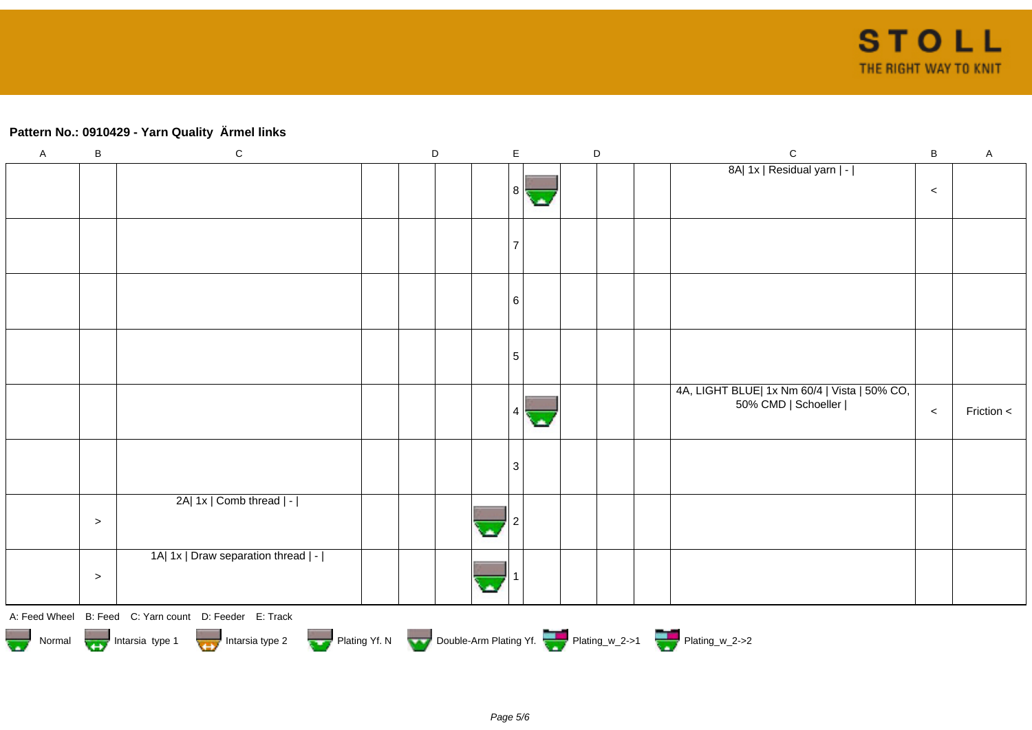# **Pattern No.: 0910429 - Yarn Quality Ärmel links**

| $\mathsf A$ | $\sf B$                                                                                                                                      | $\mathsf C$                         |  | D |  |  | $\mathsf E$    |   |  | D |  | ${\bf C}$                                                           | $\sf B$ | A            |
|-------------|----------------------------------------------------------------------------------------------------------------------------------------------|-------------------------------------|--|---|--|--|----------------|---|--|---|--|---------------------------------------------------------------------|---------|--------------|
|             |                                                                                                                                              |                                     |  |   |  |  | 8              | ٠ |  |   |  | 8A  1x   Residual yarn   -                                          | $\,<$   |              |
|             |                                                                                                                                              |                                     |  |   |  |  |                |   |  |   |  |                                                                     |         |              |
|             |                                                                                                                                              |                                     |  |   |  |  | 6              |   |  |   |  |                                                                     |         |              |
|             |                                                                                                                                              |                                     |  |   |  |  | $\sqrt{5}$     |   |  |   |  |                                                                     |         |              |
|             |                                                                                                                                              |                                     |  |   |  |  |                |   |  |   |  | 4A, LIGHT BLUE  1x Nm 60/4   Vista   50% CO,<br>50% CMD   Schoeller | $\,<$   | Friction $<$ |
|             |                                                                                                                                              |                                     |  |   |  |  | $\overline{3}$ |   |  |   |  |                                                                     |         |              |
|             | $\,>$                                                                                                                                        | 2A  1x   Comb thread   -            |  |   |  |  |                |   |  |   |  |                                                                     |         |              |
|             | $\, >$                                                                                                                                       | 1A  1x   Draw separation thread   - |  |   |  |  |                |   |  |   |  |                                                                     |         |              |
|             | A: Feed Wheel B: Feed C: Yarn count D: Feeder E: Track<br>Normal Mormal Intarsia type 1 Intarsia type 2 Plating Yf. N Double-Arm Plating Yf. |                                     |  |   |  |  |                |   |  |   |  |                                                                     |         |              |